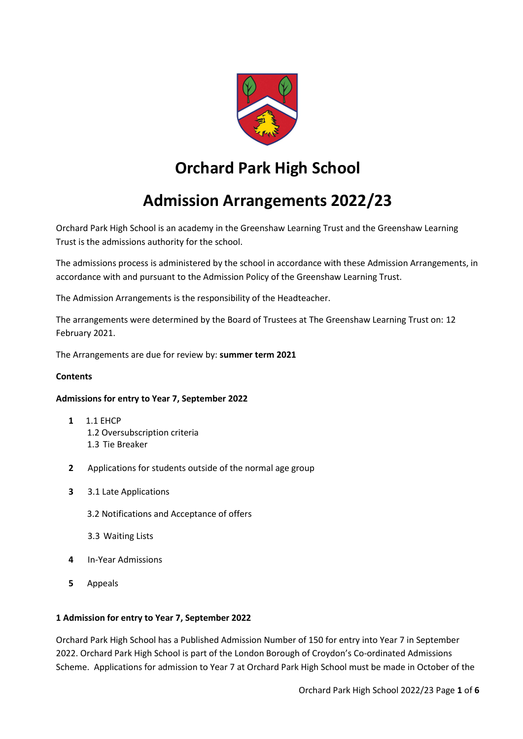

# **Orchard Park High School**

# **Admission Arrangements 2022/23**

Orchard Park High School is an academy in the Greenshaw Learning Trust and the Greenshaw Learning Trust is the admissions authority for the school.

The admissions process is administered by the school in accordance with these Admission Arrangements, in accordance with and pursuant to the Admission Policy of the Greenshaw Learning Trust.

The Admission Arrangements is the responsibility of the Headteacher.

The arrangements were determined by the Board of Trustees at The Greenshaw Learning Trust on: 12 February 2021.

The Arrangements are due for review by: **summer term 2021**

### **Contents**

### **Admissions for entry to Year 7, September 2022**

- **1** 1.1 EHCP 1.2 Oversubscription criteria 1.3 Tie Breaker
- **2** Applications for students outside of the normal age group
- **3** 3.1 Late Applications
	- 3.2 Notifications and Acceptance of offers
	- 3.3 Waiting Lists
- **4** In-Year Admissions
- **5** Appeals

### **1 Admission for entry to Year 7, September 2022**

Orchard Park High School has a Published Admission Number of 150 for entry into Year 7 in September 2022. Orchard Park High School is part of the London Borough of Croydon's Co-ordinated Admissions Scheme. Applications for admission to Year 7 at Orchard Park High School must be made in October of the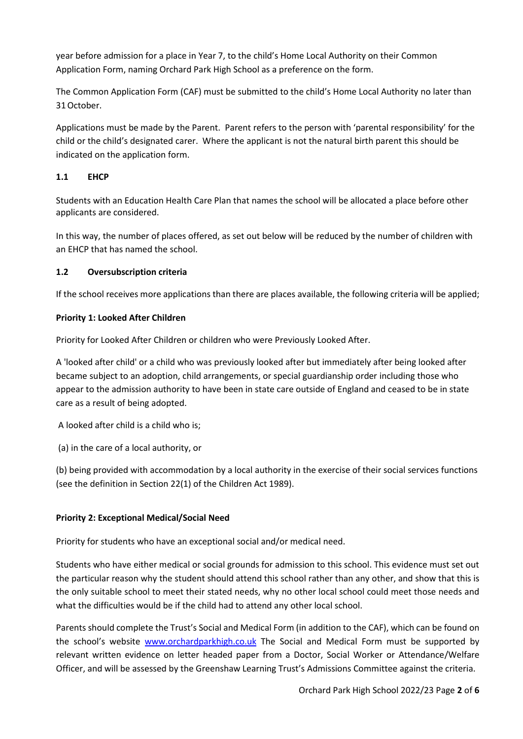year before admission for a place in Year 7, to the child's Home Local Authority on their Common Application Form, naming Orchard Park High School as a preference on the form.

The Common Application Form (CAF) must be submitted to the child's Home Local Authority no later than 31October.

Applications must be made by the Parent. Parent refers to the person with 'parental responsibility' for the child or the child's designated carer. Where the applicant is not the natural birth parent this should be indicated on the application form.

## **1.1 EHCP**

Students with an Education Health Care Plan that names the school will be allocated a place before other applicants are considered.

In this way, the number of places offered, as set out below will be reduced by the number of children with an EHCP that has named the school.

## **1.2 Oversubscription criteria**

If the school receives more applications than there are places available, the following criteria will be applied;

## **Priority 1: Looked After Children**

Priority for Looked After Children or children who were Previously Looked After.

A 'looked after child' or a child who was previously looked after but immediately after being looked after became subject to an adoption, child arrangements, or special guardianship order including those who appear to the admission authority to have been in state care outside of England and ceased to be in state care as a result of being adopted.

A looked after child is a child who is;

(a) in the care of a local authority, or

(b) being provided with accommodation by a local authority in the exercise of their social services functions (see the definition in Section 22(1) of the Children Act 1989).

## **Priority 2: Exceptional Medical/Social Need**

Priority for students who have an exceptional social and/or medical need.

Students who have either medical or social grounds for admission to this school. This evidence must set out the particular reason why the student should attend this school rather than any other, and show that this is the only suitable school to meet their stated needs, why no other local school could meet those needs and what the difficulties would be if the child had to attend any other local school.

Parents should complete the Trust's Social and Medical Form (in addition to the CAF), which can be found on the school's website [www.orchardparkhigh.co.uk](http://www.orchardparkhigh.co.uk/) The Social and Medical Form must be supported by relevant written evidence on letter headed paper from a Doctor, Social Worker or Attendance/Welfare Officer, and will be assessed by the Greenshaw Learning Trust's Admissions Committee against the criteria.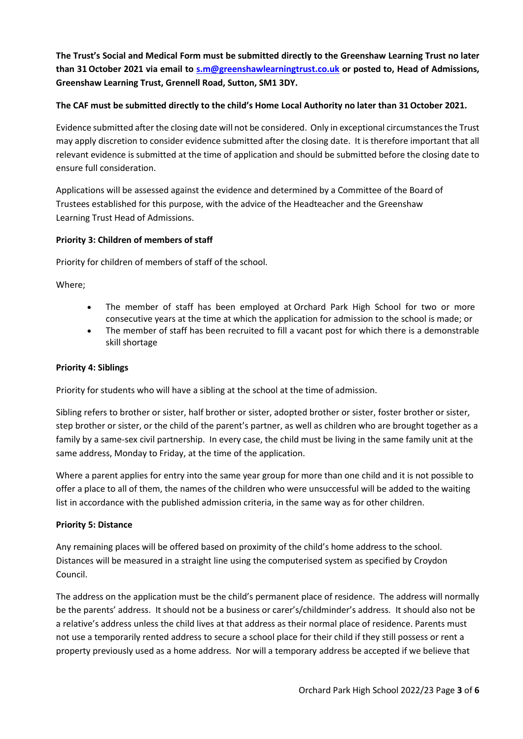**The Trust's Social and Medical Form must be submitted directly to the Greenshaw Learning Trust no later than 31 October 2021 via email to [s.m@greenshawlearningtrust.co.uk](mailto:s.m@greenshawlearningtrust.co.uk) or posted to, Head of Admissions, Greenshaw Learning Trust, Grennell Road, Sutton, SM1 3DY.**

## **The CAF must be submitted directly to the child's Home Local Authority no later than 31October 2021.**

Evidence submitted after the closing date will not be considered. Only in exceptional circumstances the Trust may apply discretion to consider evidence submitted after the closing date. It is therefore important that all relevant evidence is submitted at the time of application and should be submitted before the closing date to ensure full consideration.

Applications will be assessed against the evidence and determined by a Committee of the Board of Trustees established for this purpose, with the advice of the Headteacher and the Greenshaw Learning Trust Head of Admissions.

## **Priority 3: Children of members of staff**

Priority for children of members of staff of the school.

Where;

- The member of staff has been employed at Orchard Park High School for two or more consecutive years at the time at which the application for admission to the school is made; or
- The member of staff has been recruited to fill a vacant post for which there is a demonstrable skill shortage

#### **Priority 4: Siblings**

Priority for students who will have a sibling at the school at the time of admission.

Sibling refers to brother or sister, half brother or sister, adopted brother or sister, foster brother or sister, step brother or sister, or the child of the parent's partner, as well as children who are brought together as a family by a same-sex civil partnership. In every case, the child must be living in the same family unit at the same address, Monday to Friday, at the time of the application.

Where a parent applies for entry into the same year group for more than one child and it is not possible to offer a place to all of them, the names of the children who were unsuccessful will be added to the waiting list in accordance with the published admission criteria, in the same way as for other children.

### **Priority 5: Distance**

Any remaining places will be offered based on proximity of the child's home address to the school. Distances will be measured in a straight line using the computerised system as specified by Croydon Council.

The address on the application must be the child's permanent place of residence. The address will normally be the parents' address. It should not be a business or carer's/childminder's address. It should also not be a relative's address unless the child lives at that address as their normal place of residence. Parents must not use a temporarily rented address to secure a school place for their child if they still possess or rent a property previously used as a home address. Nor will a temporary address be accepted if we believe that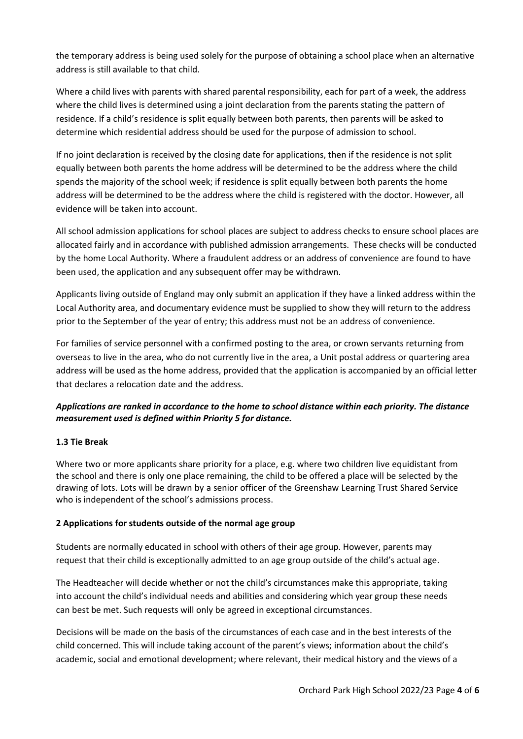the temporary address is being used solely for the purpose of obtaining a school place when an alternative address is still available to that child.

Where a child lives with parents with shared parental responsibility, each for part of a week, the address where the child lives is determined using a joint declaration from the parents stating the pattern of residence. If a child's residence is split equally between both parents, then parents will be asked to determine which residential address should be used for the purpose of admission to school.

If no joint declaration is received by the closing date for applications, then if the residence is not split equally between both parents the home address will be determined to be the address where the child spends the majority of the school week; if residence is split equally between both parents the home address will be determined to be the address where the child is registered with the doctor. However, all evidence will be taken into account.

All school admission applications for school places are subject to address checks to ensure school places are allocated fairly and in accordance with published admission arrangements. These checks will be conducted by the home Local Authority. Where a fraudulent address or an address of convenience are found to have been used, the application and any subsequent offer may be withdrawn.

Applicants living outside of England may only submit an application if they have a linked address within the Local Authority area, and documentary evidence must be supplied to show they will return to the address prior to the September of the year of entry; this address must not be an address of convenience.

For families of service personnel with a confirmed posting to the area, or crown servants returning from overseas to live in the area, who do not currently live in the area, a Unit postal address or quartering area address will be used as the home address, provided that the application is accompanied by an official letter that declares a relocation date and the address.

## *Applications are ranked in accordance to the home to school distance within each priority. The distance measurement used is defined within Priority 5 for distance.*

## **1.3 Tie Break**

Where two or more applicants share priority for a place, e.g. where two children live equidistant from the school and there is only one place remaining, the child to be offered a place will be selected by the drawing of lots. Lots will be drawn by a senior officer of the Greenshaw Learning Trust Shared Service who is independent of the school's admissions process.

### **2 Applications for students outside of the normal age group**

Students are normally educated in school with others of their age group. However, parents may request that their child is exceptionally admitted to an age group outside of the child's actual age.

The Headteacher will decide whether or not the child's circumstances make this appropriate, taking into account the child's individual needs and abilities and considering which year group these needs can best be met. Such requests will only be agreed in exceptional circumstances.

Decisions will be made on the basis of the circumstances of each case and in the best interests of the child concerned. This will include taking account of the parent's views; information about the child's academic, social and emotional development; where relevant, their medical history and the views of a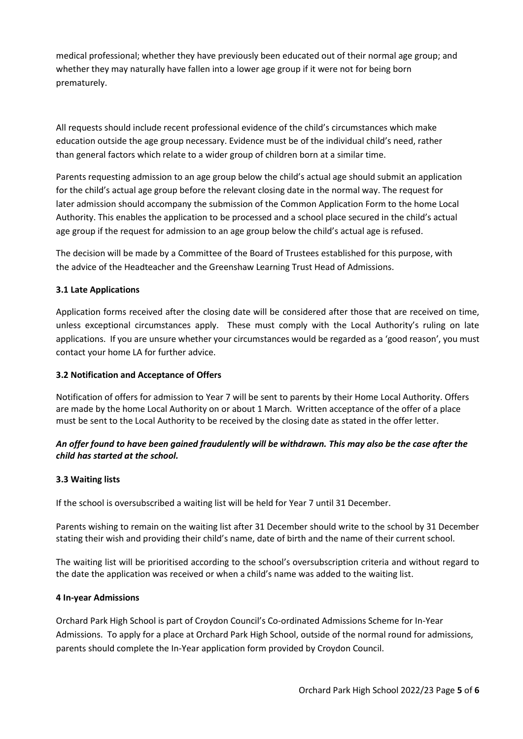medical professional; whether they have previously been educated out of their normal age group; and whether they may naturally have fallen into a lower age group if it were not for being born prematurely.

All requests should include recent professional evidence of the child's circumstances which make education outside the age group necessary. Evidence must be of the individual child's need, rather than general factors which relate to a wider group of children born at a similar time.

Parents requesting admission to an age group below the child's actual age should submit an application for the child's actual age group before the relevant closing date in the normal way. The request for later admission should accompany the submission of the Common Application Form to the home Local Authority. This enables the application to be processed and a school place secured in the child's actual age group if the request for admission to an age group below the child's actual age is refused.

The decision will be made by a Committee of the Board of Trustees established for this purpose, with the advice of the Headteacher and the Greenshaw Learning Trust Head of Admissions.

### **3.1 Late Applications**

Application forms received after the closing date will be considered after those that are received on time, unless exceptional circumstances apply. These must comply with the Local Authority's ruling on late applications. If you are unsure whether your circumstances would be regarded as a 'good reason', you must contact your home LA for further advice.

### **3.2 Notification and Acceptance of Offers**

Notification of offers for admission to Year 7 will be sent to parents by their Home Local Authority. Offers are made by the home Local Authority on or about 1 March*.* Written acceptance of the offer of a place must be sent to the Local Authority to be received by the closing date as stated in the offer letter.

### *An offer found to have been gained fraudulently will be withdrawn. This may also be the case after the child has started at the school.*

#### **3.3 Waiting lists**

If the school is oversubscribed a waiting list will be held for Year 7 until 31 December.

Parents wishing to remain on the waiting list after 31 December should write to the school by 31 December stating their wish and providing their child's name, date of birth and the name of their current school.

The waiting list will be prioritised according to the school's oversubscription criteria and without regard to the date the application was received or when a child's name was added to the waiting list.

#### **4 In-year Admissions**

Orchard Park High School is part of Croydon Council's Co-ordinated Admissions Scheme for In-Year Admissions. To apply for a place at Orchard Park High School, outside of the normal round for admissions, parents should complete the In-Year application form provided by Croydon Council.